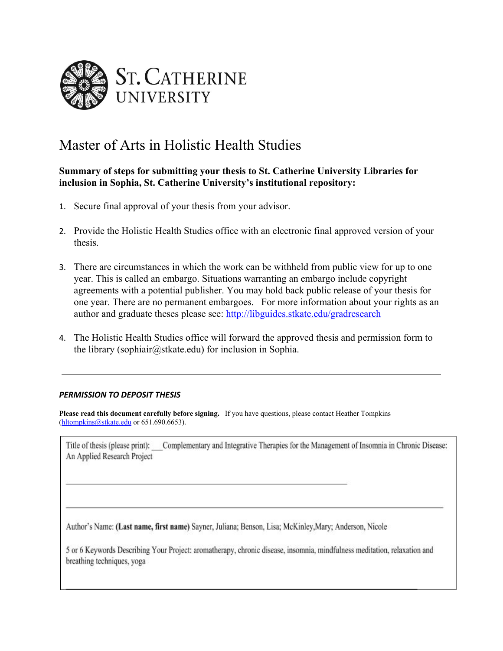

## Master of Arts in Holistic Health Studies

## **Summary of steps for submitting your thesis to St. Catherine University Libraries for inclusion in Sophia, St. Catherine University's institutional repository:**

- 1. Secure final approval of your thesis from your advisor.
- 2. Provide the Holistic Health Studies office with an electronic final approved version of your thesis.
- 3. There are circumstances in which the work can be withheld from public view for up to one year. This is called an embargo. Situations warranting an embargo include copyright agreements with a potential publisher. You may hold back public release of your thesis for one year. There are no permanent embargoes. For more information about your rights as an author and graduate theses please see:<http://libguides.stkate.edu/gradresearch>
- 4. The Holistic Health Studies office will forward the approved thesis and permission form to the library (sophiair@stkate.edu) for inclusion in Sophia.

## *PERMISSION TO DEPOSIT THESIS*

**Please read this document carefully before signing.** If you have questions, please contact Heather Tompkins [\(hltompkins@stkate.edu](mailto:hltompkins@stkate.edu) or 651.690.6653).

Title of thesis (please print): Complementary and Integrative Therapies for the Management of Insomnia in Chronic Disease: An Applied Research Project

Author's Name: (Last name, first name) Sayner, Juliana; Benson, Lisa; McKinley, Mary; Anderson, Nicole

5 or 6 Keywords Describing Your Project: aromatherapy, chronic disease, insomnia, mindfulness meditation, relaxation and breathing techniques, yoga